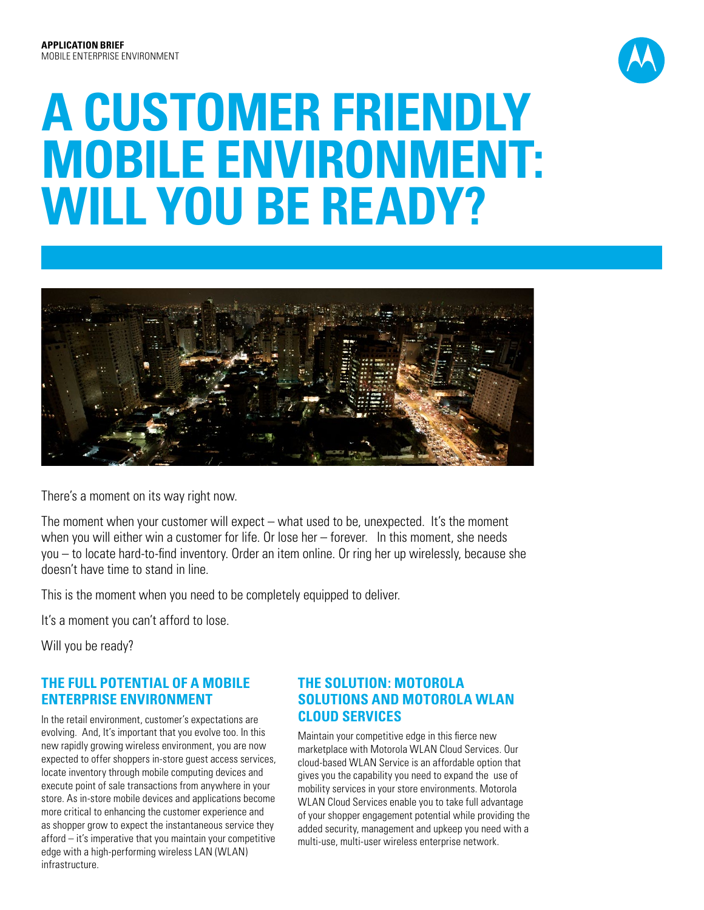

# **A Customer Friendly Mobile Environment: Will you be Ready?**



There's a moment on its way right now.

The moment when your customer will expect – what used to be, unexpected. It's the moment when you will either win a customer for life. Or lose her – forever. In this moment, she needs you – to locate hard-to-find inventory. Order an item online. Or ring her up wirelessly, because she doesn't have time to stand in line.

This is the moment when you need to be completely equipped to deliver.

It's a moment you can't afford to lose.

Will you be ready?

#### **THE FULL POTENTIAL OF A MOBILE ENTERPRISE ENVIRONMENT**

In the retail environment, customer's expectations are evolving. And, It's important that you evolve too. In this new rapidly growing wireless environment, you are now expected to offer shoppers in-store guest access services, locate inventory through mobile computing devices and execute point of sale transactions from anywhere in your store. As in-store mobile devices and applications become more critical to enhancing the customer experience and as shopper grow to expect the instantaneous service they afford – it's imperative that you maintain your competitive edge with a high-performing wireless LAN (WLAN) infrastructure.

#### **THE SOLUTION: MOTOROLA SOLUTIONS and MOTOROLA WLAN CLOUD SERVICES**

Maintain your competitive edge in this fierce new marketplace with Motorola WLAN Cloud Services. Our cloud-based WLAN Service is an affordable option that gives you the capability you need to expand the use of mobility services in your store environments. Motorola WLAN Cloud Services enable you to take full advantage of your shopper engagement potential while providing the added security, management and upkeep you need with a multi-use, multi-user wireless enterprise network.